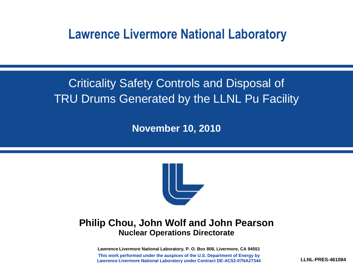#### **Lawrence Livermore National Laboratory**

#### Criticality Safety Controls and Disposal of TRU Drums Generated by the LLNL Pu Facility

**November 10, 2010**



#### **Philip Chou, John Wolf and John Pearson Nuclear Operations Directorate**

**Lawrence Livermore National Laboratory, P. O. Box 808, Livermore, CA 94551 This work performed under the auspices of the U.S. Department of Energy by Lawrence Livermore National Laboratory under Contract DE-AC52-07NA27344**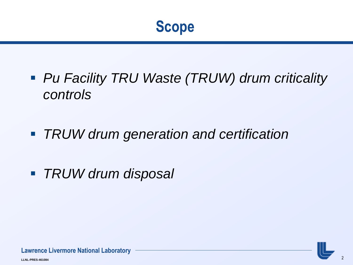- *Pu Facility TRU Waste (TRUW) drum criticality controls*
- *TRUW drum generation and certification*
- *TRUW drum disposal*

**LLNL-PRES-461084**

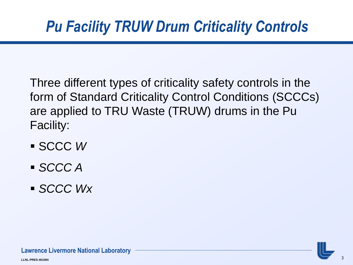Three different types of criticality safety controls in the form of Standard Criticality Control Conditions (SCCCs) are applied to TRU Waste (TRUW) drums in the Pu Facility:

- SCCC *W*
- *SCCC A*
- *SCCC Wx*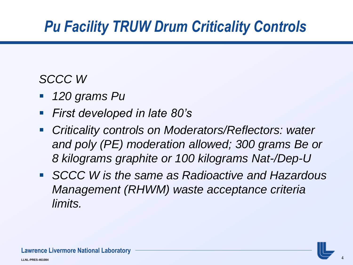#### *SCCC W*

- *120 grams Pu*
- *First developed in late 80's*
- *Criticality controls on Moderators/Reflectors: water and poly (PE) moderation allowed; 300 grams Be or 8 kilograms graphite or 100 kilograms Nat-/Dep-U*
- *SCCC W is the same as Radioactive and Hazardous Management (RHWM) waste acceptance criteria limits.*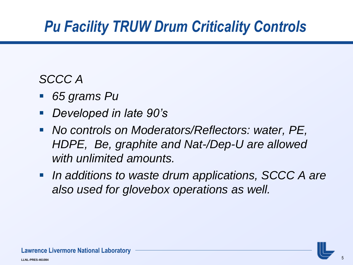#### *SCCC A*

- *65 grams Pu*
- *Developed in late 90's*
- *No controls on Moderators/Reflectors: water, PE, HDPE, Be, graphite and Nat-/Dep-U are allowed with unlimited amounts.*
- *In additions to waste drum applications, SCCC A are also used for glovebox operations as well.*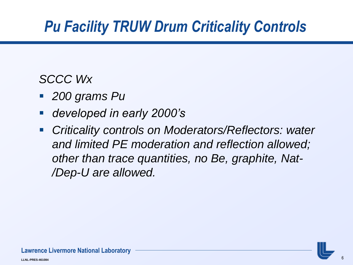#### *SCCC Wx*

- *200 grams Pu*
- *developed in early 2000's*
- *Criticality controls on Moderators/Reflectors: water and limited PE moderation and reflection allowed; other than trace quantities, no Be, graphite, Nat- /Dep-U are allowed.*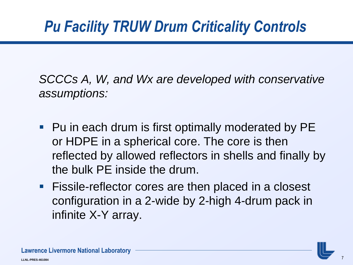*SCCCs A, W, and Wx are developed with conservative assumptions:*

- Pu in each drum is first optimally moderated by PE or HDPE in a spherical core. The core is then reflected by allowed reflectors in shells and finally by the bulk PE inside the drum.
- **Fissile-reflector cores are then placed in a closest** configuration in a 2-wide by 2-high 4-drum pack in infinite X-Y array.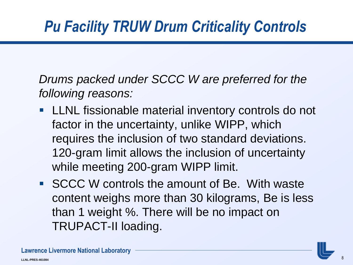*Drums packed under SCCC W are preferred for the following reasons:* 

- **LLNL** fissionable material inventory controls do not factor in the uncertainty, unlike WIPP, which requires the inclusion of two standard deviations. 120-gram limit allows the inclusion of uncertainty while meeting 200-gram WIPP limit.
- **SCCC W controls the amount of Be. With waste** content weighs more than 30 kilograms, Be is less than 1 weight %. There will be no impact on TRUPACT-II loading.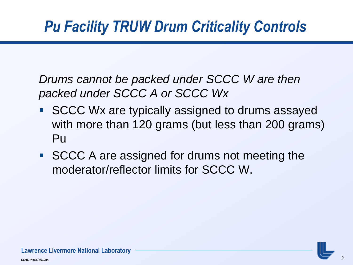*Drums cannot be packed under SCCC W are then packed under SCCC A or SCCC Wx*

- SCCC Wx are typically assigned to drums assayed with more than 120 grams (but less than 200 grams) Pu
- SCCC A are assigned for drums not meeting the moderator/reflector limits for SCCC W.

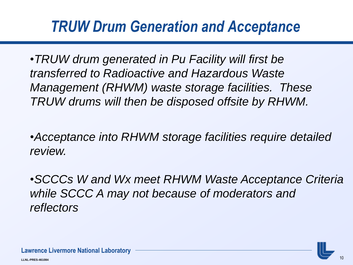### *TRUW Drum Generation and Acceptance*

•*TRUW drum generated in Pu Facility will first be transferred to Radioactive and Hazardous Waste Management (RHWM) waste storage facilities. These TRUW drums will then be disposed offsite by RHWM.*

•*Acceptance into RHWM storage facilities require detailed review.*

•*SCCCs W and Wx meet RHWM Waste Acceptance Criteria while SCCC A may not because of moderators and reflectors*

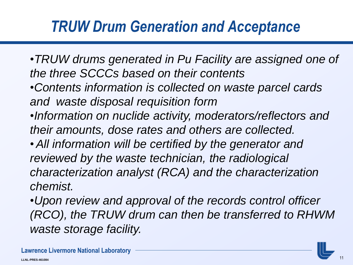### *TRUW Drum Generation and Acceptance*

- •*TRUW drums generated in Pu Facility are assigned one of the three SCCCs based on their contents*
- •*Contents information is collected on waste parcel cards and waste disposal requisition form*
- •*Information on nuclide activity, moderators/reflectors and their amounts, dose rates and others are collected.*
- •*All information will be certified by the generator and reviewed by the waste technician, the radiological characterization analyst (RCA) and the characterization chemist.*
- •*Upon review and approval of the records control officer (RCO), the TRUW drum can then be transferred to RHWM waste storage facility.*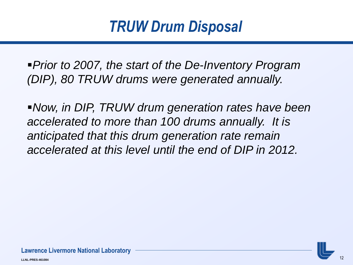*Prior to 2007, the start of the De-Inventory Program (DIP), 80 TRUW drums were generated annually.* 

*Now, in DIP, TRUW drum generation rates have been accelerated to more than 100 drums annually. It is anticipated that this drum generation rate remain accelerated at this level until the end of DIP in 2012.*

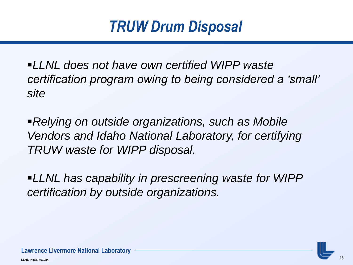*LLNL does not have own certified WIPP waste certification program owing to being considered a 'small' site*

*Relying on outside organizations, such as Mobile Vendors and Idaho National Laboratory, for certifying TRUW waste for WIPP disposal.*

*LLNL has capability in prescreening waste for WIPP certification by outside organizations.* 

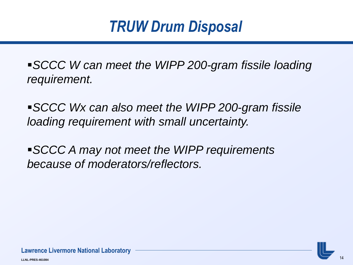*SCCC W can meet the WIPP 200-gram fissile loading requirement.*

*SCCC Wx can also meet the WIPP 200-gram fissile loading requirement with small uncertainty.*

*SCCC A may not meet the WIPP requirements because of moderators/reflectors.* 

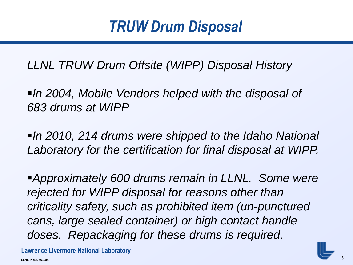*LLNL TRUW Drum Offsite (WIPP) Disposal History*

*In 2004, Mobile Vendors helped with the disposal of 683 drums at WIPP*

*In 2010, 214 drums were shipped to the Idaho National Laboratory for the certification for final disposal at WIPP.*

*Approximately 600 drums remain in LLNL. Some were rejected for WIPP disposal for reasons other than criticality safety, such as prohibited item (un-punctured cans, large sealed container) or high contact handle doses. Repackaging for these drums is required.*

**Lawrence Livermore National Laboratory**